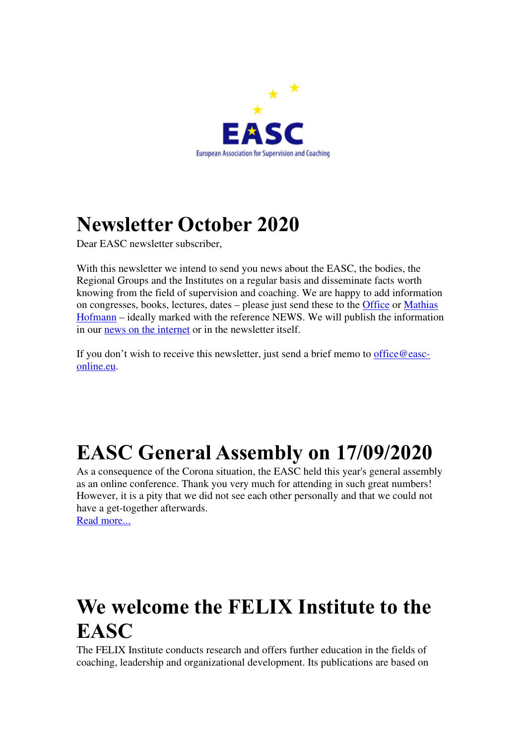

# **Newsletter October 2020**

Dear EASC newsletter subscriber,

With this newsletter we intend to send you news about the EASC, the bodies, the Regional Groups and the Institutes on a regular basis and disseminate facts worth knowing from the field of supervision and coaching. We are happy to add information on congresses, books, lectures, dates – please just send these to the Office or Mathias Hofmann – ideally marked with the reference NEWS. We will publish the information in our news on the internet or in the newsletter itself.

If you don't wish to receive this newsletter, just send a brief memo to office@easconline.eu.

# **EASC General Assembly on 17/09/2020**

As a consequence of the Corona situation, the EASC held this year's general assembly as an online conference. Thank you very much for attending in such great numbers! However, it is a pity that we did not see each other personally and that we could not have a get-together afterwards.

Read more...

# **We welcome the FELIX Institute to the EASC**

The FELIX Institute conducts research and offers further education in the fields of coaching, leadership and organizational development. Its publications are based on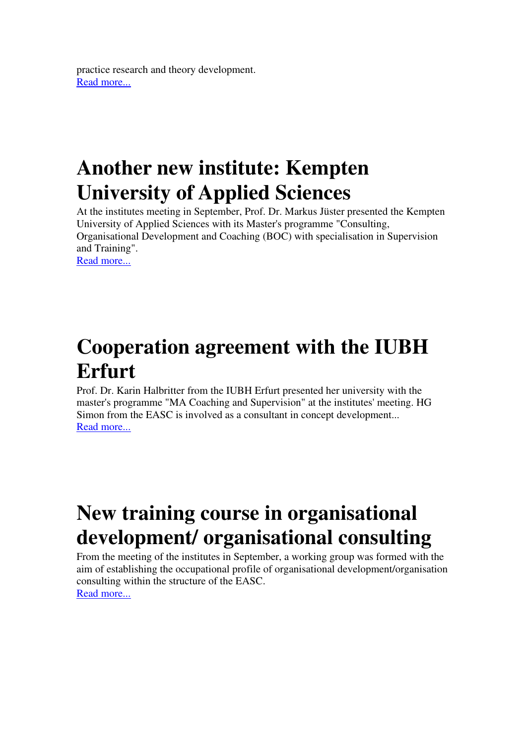practice research and theory development. Read more...

# **Another new institute: Kempten University of Applied Sciences**

At the institutes meeting in September, Prof. Dr. Markus Jüster presented the Kempten University of Applied Sciences with its Master's programme "Consulting, Organisational Development and Coaching (BOC) with specialisation in Supervision and Training". Read more...

**Cooperation agreement with the IUBH Erfurt** 

Prof. Dr. Karin Halbritter from the IUBH Erfurt presented her university with the master's programme "MA Coaching and Supervision" at the institutes' meeting. HG Simon from the EASC is involved as a consultant in concept development... Read more...

# **New training course in organisational development/ organisational consulting**

From the meeting of the institutes in September, a working group was formed with the aim of establishing the occupational profile of organisational development/organisation consulting within the structure of the EASC. Read more...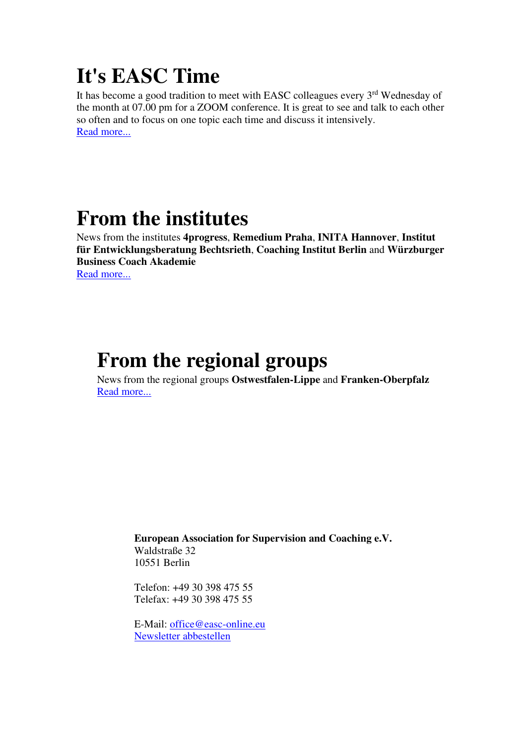# **It's EASC Time**

It has become a good tradition to meet with EASC colleagues every 3<sup>rd</sup> Wednesday of the month at 07.00 pm for a ZOOM conference. It is great to see and talk to each other so often and to focus on one topic each time and discuss it intensively. Read more...

# **From the institutes**

News from the institutes **4progress**, **Remedium Praha**, **INITA Hannover**, **Institut für Entwicklungsberatung Bechtsrieth**, **Coaching Institut Berlin** and **Würzburger Business Coach Akademie** Read more...

#### **From the regional groups**

News from the regional groups **Ostwestfalen-Lippe** and **Franken-Oberpfalz** Read more...

> **European Association for Supervision and Coaching e.V.** Waldstraße 32 10551 Berlin

Telefon: +49 30 398 475 55 Telefax: +49 30 398 475 55

E-Mail: office@easc-online.eu Newsletter abbestellen